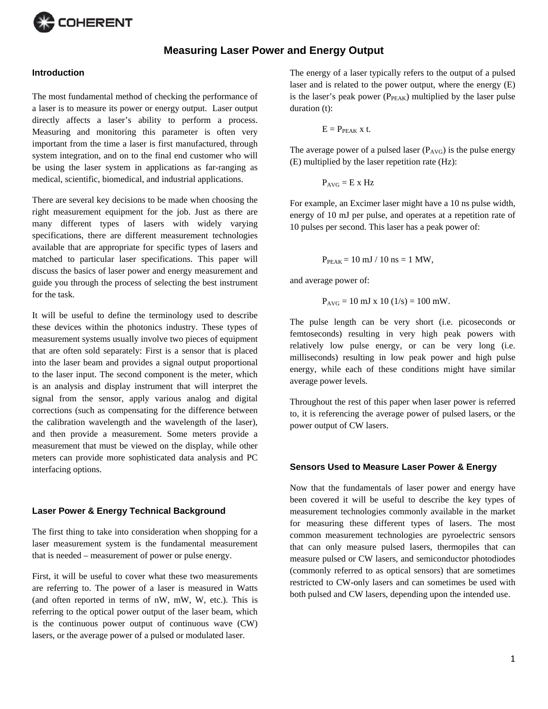

# **Measuring Laser Power and Energy Output**

### **Introduction**

The most fundamental method of checking the performance of a laser is to measure its power or energy output. Laser output directly affects a laser's ability to perform a process. Measuring and monitoring this parameter is often very important from the time a laser is first manufactured, through system integration, and on to the final end customer who will be using the laser system in applications as far-ranging as medical, scientific, biomedical, and industrial applications.

There are several key decisions to be made when choosing the right measurement equipment for the job. Just as there are many different types of lasers with widely varying specifications, there are different measurement technologies available that are appropriate for specific types of lasers and matched to particular laser specifications. This paper will discuss the basics of laser power and energy measurement and guide you through the process of selecting the best instrument for the task.

It will be useful to define the terminology used to describe these devices within the photonics industry. These types of measurement systems usually involve two pieces of equipment that are often sold separately: First is a sensor that is placed into the laser beam and provides a signal output proportional to the laser input. The second component is the meter, which is an analysis and display instrument that will interpret the signal from the sensor, apply various analog and digital corrections (such as compensating for the difference between the calibration wavelength and the wavelength of the laser), and then provide a measurement. Some meters provide a measurement that must be viewed on the display, while other meters can provide more sophisticated data analysis and PC interfacing options.

### **Laser Power & Energy Technical Background**

The first thing to take into consideration when shopping for a laser measurement system is the fundamental measurement that is needed – measurement of power or pulse energy.

First, it will be useful to cover what these two measurements are referring to. The power of a laser is measured in Watts (and often reported in terms of nW, mW, W, etc.). This is referring to the optical power output of the laser beam, which is the continuous power output of continuous wave (CW) lasers, or the average power of a pulsed or modulated laser.

The energy of a laser typically refers to the output of a pulsed laser and is related to the power output, where the energy (E) is the laser's peak power ( $P_{\text{PEAK}}$ ) multiplied by the laser pulse duration (t):

$$
E = P_{PEAK} x t.
$$

The average power of a pulsed laser  $(P_{AVG})$  is the pulse energy (E) multiplied by the laser repetition rate (Hz):

$$
P_{AVG} = E \times Hz
$$

For example, an Excimer laser might have a 10 ns pulse width, energy of 10 mJ per pulse, and operates at a repetition rate of 10 pulses per second. This laser has a peak power of:

$$
P_{PEAK} = 10 \text{ mJ} / 10 \text{ ns} = 1 \text{ MW},
$$

and average power of:

$$
P_{\text{AVG}} = 10 \text{ mJ x } 10 (1/s) = 100 \text{ mW}.
$$

The pulse length can be very short (i.e. picoseconds or femtoseconds) resulting in very high peak powers with relatively low pulse energy, or can be very long (i.e. milliseconds) resulting in low peak power and high pulse energy, while each of these conditions might have similar average power levels.

Throughout the rest of this paper when laser power is referred to, it is referencing the average power of pulsed lasers, or the power output of CW lasers.

#### **Sensors Used to Measure Laser Power & Energy**

Now that the fundamentals of laser power and energy have been covered it will be useful to describe the key types of measurement technologies commonly available in the market for measuring these different types of lasers. The most common measurement technologies are pyroelectric sensors that can only measure pulsed lasers, thermopiles that can measure pulsed or CW lasers, and semiconductor photodiodes (commonly referred to as optical sensors) that are sometimes restricted to CW-only lasers and can sometimes be used with both pulsed and CW lasers, depending upon the intended use.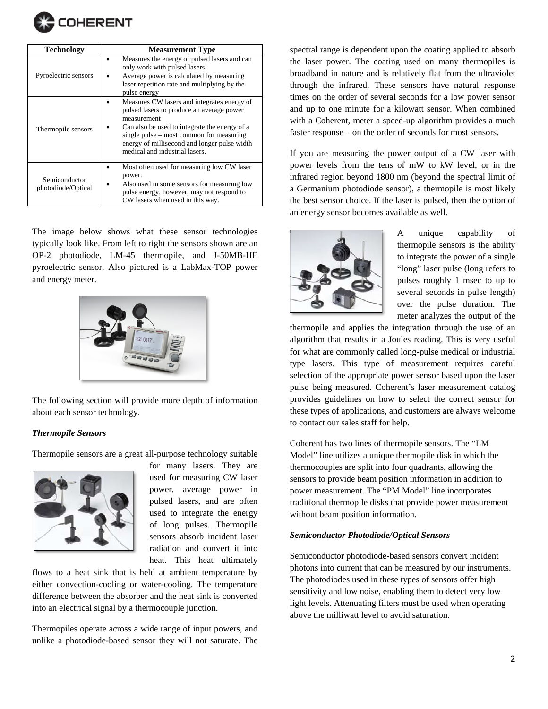

| <b>Technology</b>                   | <b>Measurement Type</b>                                                                                                                                                                                                                                                                |  |  |  |
|-------------------------------------|----------------------------------------------------------------------------------------------------------------------------------------------------------------------------------------------------------------------------------------------------------------------------------------|--|--|--|
| Pyroelectric sensors                | Measures the energy of pulsed lasers and can<br>only work with pulsed lasers<br>Average power is calculated by measuring<br>laser repetition rate and multiplying by the<br>pulse energy                                                                                               |  |  |  |
| Thermopile sensors                  | Measures CW lasers and integrates energy of<br>pulsed lasers to produce an average power<br>measurement<br>Can also be used to integrate the energy of a<br>single pulse – most common for measuring<br>energy of millisecond and longer pulse width<br>medical and industrial lasers. |  |  |  |
| Semiconductor<br>photodiode/Optical | Most often used for measuring low CW laser<br>power.<br>Also used in some sensors for measuring low<br>pulse energy, however, may not respond to<br>CW lasers when used in this way.                                                                                                   |  |  |  |

The image below shows what these sensor technologies typically look like. From left to right the sensors shown are an OP-2 photodiode, LM-45 thermopile, and J-50MB-HE pyroelectric sensor. Also pictured is a LabMax-TOP power and energy meter.



The following section will provide more depth of information about each sensor technology.

#### *Thermopile Sensors*

Thermopile sensors are a great all-purpose technology suitable



for many lasers. They are used for measuring CW laser power, average power in pulsed lasers, and are often used to integrate the energy of long pulses. Thermopile sensors absorb incident laser radiation and convert it into heat. This heat ultimately

flows to a heat sink that is held at ambient temperature by either convection-cooling or water-cooling. The temperature difference between the absorber and the heat sink is converted into an electrical signal by a thermocouple junction.

Thermopiles operate across a wide range of input powers, and unlike a photodiode-based sensor they will not saturate. The

spectral range is dependent upon the coating applied to absorb the laser power. The coating used on many thermopiles is broadband in nature and is relatively flat from the ultraviolet through the infrared. These sensors have natural response times on the order of several seconds for a low power sensor and up to one minute for a kilowatt sensor. When combined with a Coherent, meter a speed-up algorithm provides a much faster response – on the order of seconds for most sensors.

If you are measuring the power output of a CW laser with power levels from the tens of mW to kW level, or in the infrared region beyond 1800 nm (beyond the spectral limit of a Germanium photodiode sensor), a thermopile is most likely the best sensor choice. If the laser is pulsed, then the option of an energy sensor becomes available as well.



A unique capability of thermopile sensors is the ability to integrate the power of a single "long" laser pulse (long refers to pulses roughly 1 msec to up to several seconds in pulse length) over the pulse duration. The meter analyzes the output of the

thermopile and applies the integration through the use of an algorithm that results in a Joules reading. This is very useful for what are commonly called long-pulse medical or industrial type lasers. This type of measurement requires careful selection of the appropriate power sensor based upon the laser pulse being measured. Coherent's laser measurement catalog provides guidelines on how to select the correct sensor for these types of applications, and customers are always welcome to contact our sales staff for help.

Coherent has two lines of thermopile sensors. The "LM Model" line utilizes a unique thermopile disk in which the thermocouples are split into four quadrants, allowing the sensors to provide beam position information in addition to power measurement. The "PM Model" line incorporates traditional thermopile disks that provide power measurement without beam position information.

#### *Semiconductor Photodiode/Optical Sensors*

Semiconductor photodiode-based sensors convert incident photons into current that can be measured by our instruments. The photodiodes used in these types of sensors offer high sensitivity and low noise, enabling them to detect very low light levels. Attenuating filters must be used when operating above the milliwatt level to avoid saturation.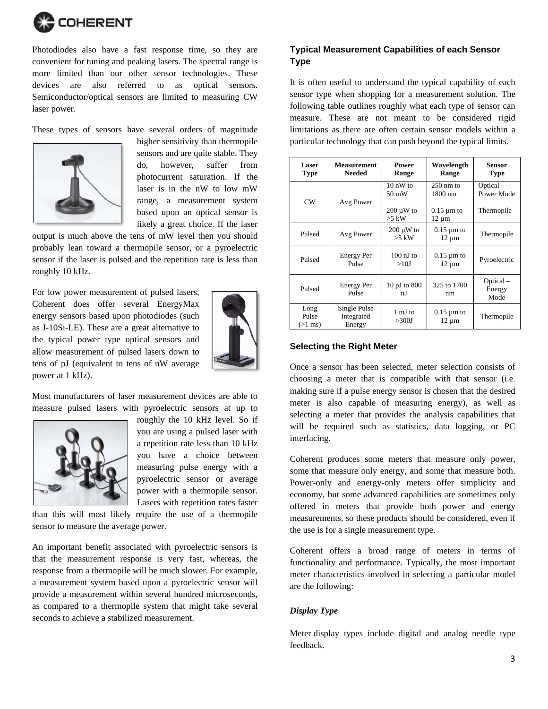

Photodiodes also have a fast response time, so they are convenient for tuning and peaking lasers. The spectral range is more limited than our other sensor technologies. These devices are also referred to as optical sensors. Semiconductor/optical sensors are limited to measuring CW laser power.

These types of sensors have several orders of magnitude



higher sensitivity than thermopile sensors and are quite stable. They do, however, suffer from photocurrent saturation. If the laser is in the nW to low mW range, a measurement system based upon an optical sensor is likely a great choice. If the laser

output is much above the tens of mW level then you should probably lean toward a thermopile sensor, or a pyroelectric sensor if the laser is pulsed and the repetition rate is less than roughly 10 kHz.

For low power measurement of pulsed lasers, Coherent does offer several EnergyMax energy sensors based upon photodiodes (such as J-10Si-LE). These are a great alternative to the typical power type optical sensors and allow measurement of pulsed lasers down to tens of pJ (equivalent to tens of nW average power at 1 kHz).



Most manufacturers of laser measurement devices are able to measure pulsed lasers with pyroelectric sensors at up to



roughly the 10 kHz level. So if you are using a pulsed laser with a repetition rate less than 10 kHz you have a choice between measuring pulse energy with a pyroelectric sensor or average power with a thermopile sensor. Lasers with repetition rates faster

than this will most likely require the use of a thermopile sensor to measure the average power.

An important benefit associated with pyroelectric sensors is that the measurement response is very fast, whereas, the response from a thermopile will be much slower. For example, a measurement system based upon a pyroelectric sensor will provide a measurement within several hundred microseconds, as compared to a thermopile system that might take several seconds to achieve a stabilized measurement.

# **Typical Measurement Capabilities of each Sensor Type**

It is often useful to understand the typical capability of each sensor type when shopping for a measurement solution. The following table outlines roughly what each type of sensor can measure. These are not meant to be considered rigid limitations as there are often certain sensor models within a particular technology that can push beyond the typical limits.

| <b>Laser</b><br><b>Type</b> | <b>Measurement</b><br><b>Needed</b>  | Power<br>Range              | Wavelength<br>Range            | <b>Sensor</b><br><b>Type</b> |
|-----------------------------|--------------------------------------|-----------------------------|--------------------------------|------------------------------|
| CW                          | Avg Power                            | $10 \text{ nW}$ to<br>50 mW | $250 \text{ nm}$ to<br>1800 nm | Optical-<br>Power Mode       |
|                             |                                      | $200 \mu W$ to<br>$>5$ kW   | $0.15 \mu m$ to<br>$12 \mu m$  | Thermopile                   |
| Pulsed                      | Avg Power                            | $200 \mu W$ to<br>$>5$ kW   | $0.15 \mu m$ to<br>$12 \mu m$  | Thermopile                   |
| Pulsed                      | <b>Energy Per</b><br>Pulse           | $100 \text{ nJ}$ to<br>>10J | $0.15 \mu m$ to<br>$12 \mu m$  | Pyroelectric                 |
| Pulsed                      | <b>Energy Per</b><br>Pulse           | 10 pJ to 800<br>n.J         | 325 to 1700<br>nm              | Optical-<br>Energy<br>Mode   |
| Long<br>Pulse<br>$(>1$ ms)  | Single Pulse<br>Integrated<br>Energy | 1 mJ to<br>>300J            | $0.15 \mu m$ to<br>$12 \mu m$  | Thermopile                   |

## **Selecting the Right Meter**

Once a sensor has been selected, meter selection consists of choosing a meter that is compatible with that sensor (i.e. making sure if a pulse energy sensor is chosen that the desired meter is also capable of measuring energy), as well as selecting a meter that provides the analysis capabilities that will be required such as statistics, data logging, or PC interfacing.

Coherent produces some meters that measure only power, some that measure only energy, and some that measure both. Power-only and energy-only meters offer simplicity and economy, but some advanced capabilities are sometimes only offered in meters that provide both power and energy measurements, so these products should be considered, even if the use is for a single measurement type.

Coherent offers a broad range of meters in terms of functionality and performance. Typically, the most important meter characteristics involved in selecting a particular model are the following:

### *Display Type*

Meter display types include digital and analog needle type feedback.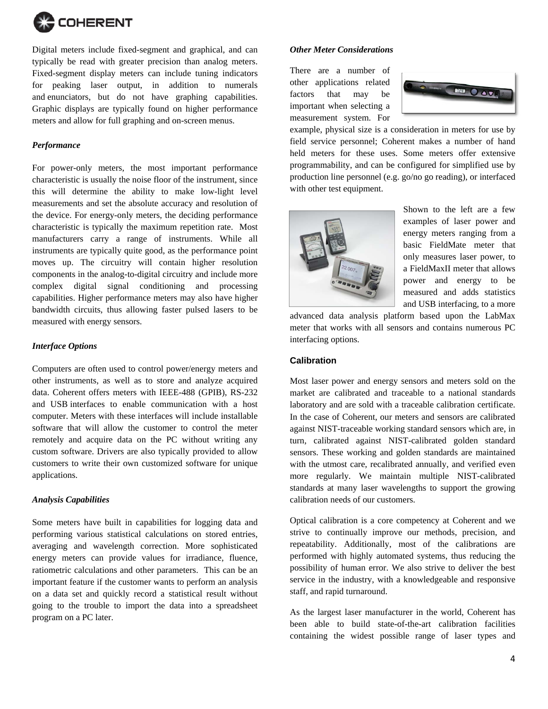

Digital meters include fixed-segment and graphical, and can typically be read with greater precision than analog meters. Fixed-segment display meters can include tuning indicators for peaking laser output, in addition to numerals and enunciators, but do not have graphing capabilities. Graphic displays are typically found on higher performance meters and allow for full graphing and on-screen menus.

## *Performance*

For power-only meters, the most important performance characteristic is usually the noise floor of the instrument, since this will determine the ability to make low-light level measurements and set the absolute accuracy and resolution of the device. For energy-only meters, the deciding performance characteristic is typically the maximum repetition rate. Most manufacturers carry a range of instruments. While all instruments are typically quite good, as the performance point moves up. The circuitry will contain higher resolution components in the analog-to-digital circuitry and include more complex digital signal conditioning and processing capabilities. Higher performance meters may also have higher bandwidth circuits, thus allowing faster pulsed lasers to be measured with energy sensors.

#### *Interface Options*

Computers are often used to control power/energy meters and other instruments, as well as to store and analyze acquired data. Coherent offers meters with IEEE-488 (GPIB), RS-232 and USB interfaces to enable communication with a host computer. Meters with these interfaces will include installable software that will allow the customer to control the meter remotely and acquire data on the PC without writing any custom software. Drivers are also typically provided to allow customers to write their own customized software for unique applications.

#### *Analysis Capabilities*

Some meters have built in capabilities for logging data and performing various statistical calculations on stored entries, averaging and wavelength correction. More sophisticated energy meters can provide values for irradiance, fluence, ratiometric calculations and other parameters. This can be an important feature if the customer wants to perform an analysis on a data set and quickly record a statistical result without going to the trouble to import the data into a spreadsheet program on a PC later.

## *Other Meter Considerations*

There are a number of other applications related factors that may be important when selecting a measurement system. For



example, physical size is a consideration in meters for use by field service personnel; Coherent makes a number of hand held meters for these uses. Some meters offer extensive programmability, and can be configured for simplified use by production line personnel (e.g. go/no go reading), or interfaced with other test equipment.



Shown to the left are a few examples of laser power and energy meters ranging from a basic FieldMate meter that only measures laser power, to a FieldMaxII meter that allows power and energy to be measured and adds statistics and USB interfacing, to a more

advanced data analysis platform based upon the LabMax meter that works with all sensors and contains numerous PC interfacing options.

# **Calibration**

Most laser power and energy sensors and meters sold on the market are calibrated and traceable to a national standards laboratory and are sold with a traceable calibration certificate. In the case of Coherent, our meters and sensors are calibrated against NIST-traceable working standard sensors which are, in turn, calibrated against NIST-calibrated golden standard sensors. These working and golden standards are maintained with the utmost care, recalibrated annually, and verified even more regularly. We maintain multiple NIST-calibrated standards at many laser wavelengths to support the growing calibration needs of our customers.

Optical calibration is a core competency at Coherent and we strive to continually improve our methods, precision, and repeatability. Additionally, most of the calibrations are performed with highly automated systems, thus reducing the possibility of human error. We also strive to deliver the best service in the industry, with a knowledgeable and responsive staff, and rapid turnaround.

As the largest laser manufacturer in the world, Coherent has been able to build state-of-the-art calibration facilities containing the widest possible range of laser types and